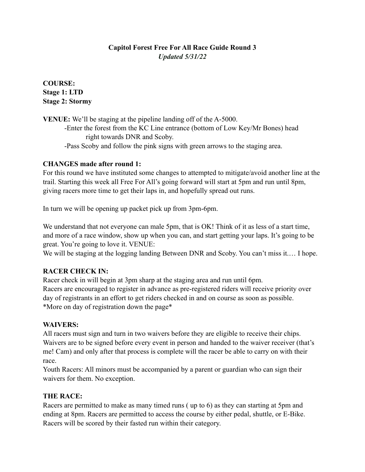# **Capitol Forest Free For All Race Guide Round 3** *Updated 5/31/22*

**COURSE: Stage 1: LTD Stage 2: Stormy** 

**VENUE:** We'll be staging at the pipeline landing off of the A-5000. -Enter the forest from the KC Line entrance (bottom of Low Key/Mr Bones) head right towards DNR and Scoby. -Pass Scoby and follow the pink signs with green arrows to the staging area.

## **CHANGES made after round 1:**

For this round we have instituted some changes to attempted to mitigate/avoid another line at the trail. Starting this week all Free For All's going forward will start at 5pm and run until 8pm, giving racers more time to get their laps in, and hopefully spread out runs.

In turn we will be opening up packet pick up from 3pm-6pm.

We understand that not everyone can male 5pm, that is OK! Think of it as less of a start time, and more of a race window, show up when you can, and start getting your laps. It's going to be great. You're going to love it. VENUE:

We will be staging at the logging landing Between DNR and Scoby. You can't miss it.... I hope.

# **RACER CHECK IN:**

Racer check in will begin at 3pm sharp at the staging area and run until 6pm. Racers are encouraged to register in advance as pre-registered riders will receive priority over day of registrants in an effort to get riders checked in and on course as soon as possible. \*More on day of registration down the page\*

### **WAIVERS:**

All racers must sign and turn in two waivers before they are eligible to receive their chips. Waivers are to be signed before every event in person and handed to the waiver receiver (that's me! Cam) and only after that process is complete will the racer be able to carry on with their race.

Youth Racers: All minors must be accompanied by a parent or guardian who can sign their waivers for them. No exception.

# **THE RACE:**

Racers are permitted to make as many timed runs ( up to 6) as they can starting at 5pm and ending at 8pm. Racers are permitted to access the course by either pedal, shuttle, or E-Bike. Racers will be scored by their fasted run within their category.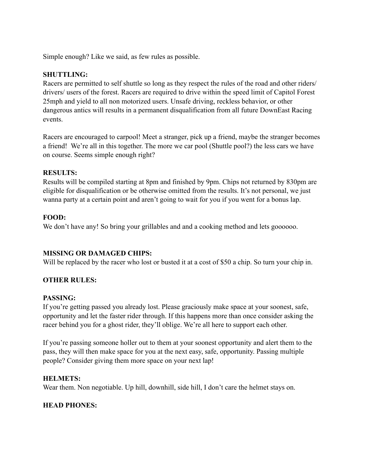Simple enough? Like we said, as few rules as possible.

### **SHUTTLING:**

Racers are permitted to self shuttle so long as they respect the rules of the road and other riders/ drivers/ users of the forest. Racers are required to drive within the speed limit of Capitol Forest 25mph and yield to all non motorized users. Unsafe driving, reckless behavior, or other dangerous antics will results in a permanent disqualification from all future DownEast Racing events.

Racers are encouraged to carpool! Meet a stranger, pick up a friend, maybe the stranger becomes a friend! We're all in this together. The more we car pool (Shuttle pool?) the less cars we have on course. Seems simple enough right?

### **RESULTS:**

Results will be compiled starting at 8pm and finished by 9pm. Chips not returned by 830pm are eligible for disqualification or be otherwise omitted from the results. It's not personal, we just wanna party at a certain point and aren't going to wait for you if you went for a bonus lap.

## **FOOD:**

We don't have any! So bring your grillables and and a cooking method and lets goooooo.

# **MISSING OR DAMAGED CHIPS:**

Will be replaced by the racer who lost or busted it at a cost of \$50 a chip. So turn your chip in.

# **OTHER RULES:**

### **PASSING:**

If you're getting passed you already lost. Please graciously make space at your soonest, safe, opportunity and let the faster rider through. If this happens more than once consider asking the racer behind you for a ghost rider, they'll oblige. We're all here to support each other.

If you're passing someone holler out to them at your soonest opportunity and alert them to the pass, they will then make space for you at the next easy, safe, opportunity. Passing multiple people? Consider giving them more space on your next lap!

### **HELMETS:**

Wear them. Non negotiable. Up hill, downhill, side hill, I don't care the helmet stays on.

### **HEAD PHONES:**